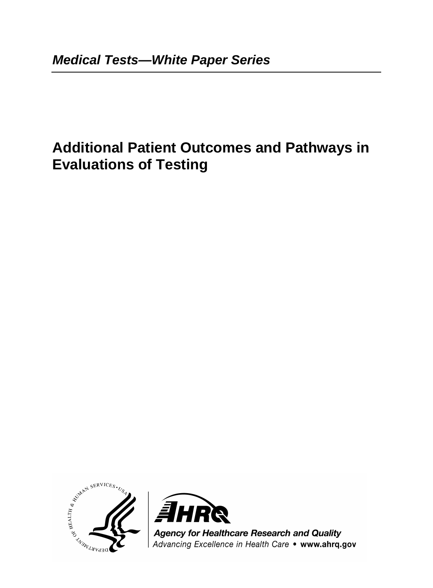# **Additional Patient Outcomes and Pathways in Evaluations of Testing**





**Agency for Healthcare Research and Quality** Advancing Excellence in Health Care . www.ahrq.gov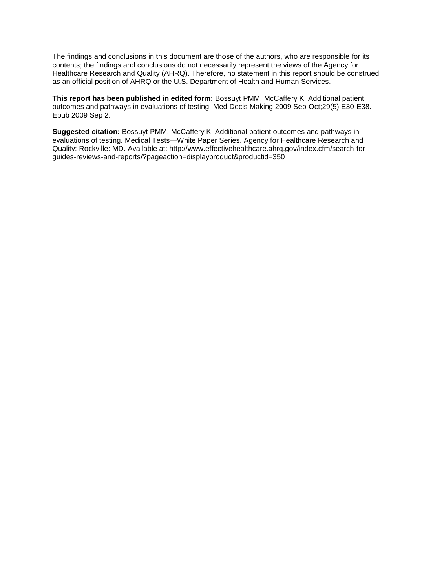The findings and conclusions in this document are those of the authors, who are responsible for its contents; the findings and conclusions do not necessarily represent the views of the Agency for Healthcare Research and Quality (AHRQ). Therefore, no statement in this report should be construed as an official position of AHRQ or the U.S. Department of Health and Human Services.

**This report has been published in edited form:** Bossuyt PMM, McCaffery K. Additional patient outcomes and pathways in evaluations of testing. Med Decis Making 2009 Sep-Oct;29(5):E30-E38. Epub 2009 Sep 2.

**Suggested citation:** Bossuyt PMM, McCaffery K. Additional patient outcomes and pathways in evaluations of testing. Medical Tests—White Paper Series. Agency for Healthcare Research and Quality: Rockville: MD. Available at: http://www.effectivehealthcare.ahrq.gov/index.cfm/search-forguides-reviews-and-reports/?pageaction=displayproduct&productid=350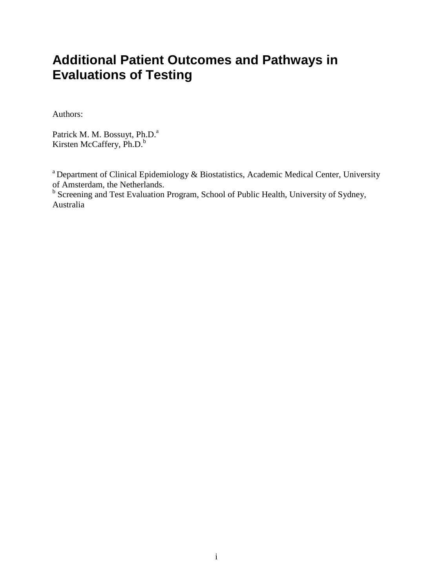# **Additional Patient Outcomes and Pathways in Evaluations of Testing**

Authors:

Patrick M. M. Bossuyt, Ph.D.<sup>a</sup> Kirsten McCaffery, Ph.D.<sup>b</sup>

<sup>a</sup> Department of Clinical Epidemiology & Biostatistics, Academic Medical Center, University of Amsterdam, the Netherlands.

<sup>b</sup> Screening and Test Evaluation Program, School of Public Health, University of Sydney, Australia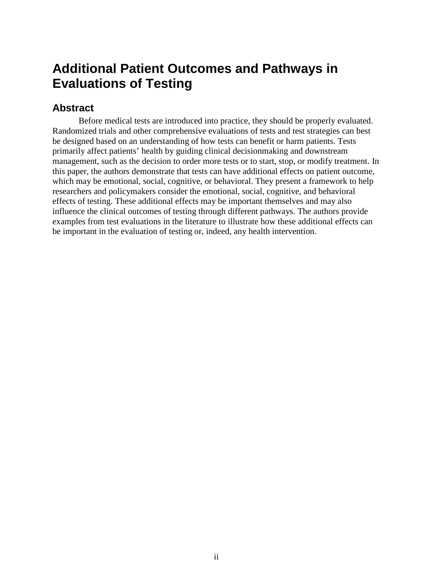## **Additional Patient Outcomes and Pathways in Evaluations of Testing**

#### **Abstract**

Before medical tests are introduced into practice, they should be properly evaluated. Randomized trials and other comprehensive evaluations of tests and test strategies can best be designed based on an understanding of how tests can benefit or harm patients. Tests primarily affect patients' health by guiding clinical decisionmaking and downstream management, such as the decision to order more tests or to start, stop, or modify treatment. In this paper, the authors demonstrate that tests can have additional effects on patient outcome, which may be emotional, social, cognitive, or behavioral. They present a framework to help researchers and policymakers consider the emotional, social, cognitive, and behavioral effects of testing. These additional effects may be important themselves and may also influence the clinical outcomes of testing through different pathways. The authors provide examples from test evaluations in the literature to illustrate how these additional effects can be important in the evaluation of testing or, indeed, any health intervention.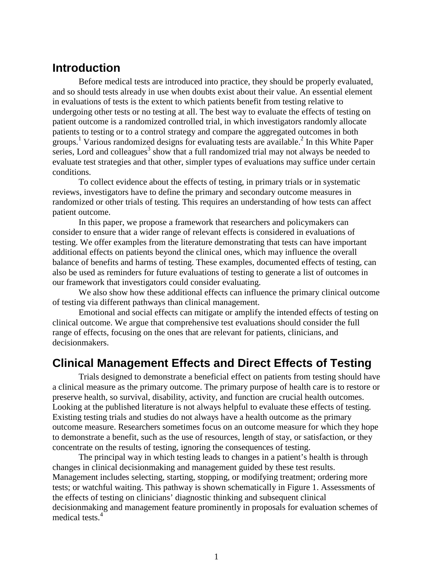#### **Introduction**

Before medical tests are introduced into practice, they should be properly evaluated, and so should tests already in use when doubts exist about their value. An essential element in evaluations of tests is the extent to which patients benefit from testing relative to undergoing other tests or no testing at all. The best way to evaluate the effects of testing on patient outcome is a randomized controlled trial, in which investigators randomly allocate patients to testing or to a control strategy and compare the aggregated outcomes in both groups.<sup>1</sup> Various randomized designs for evaluating tests are available.<sup>2</sup> In this White Paper series, Lord and colleagues<sup>3</sup> show that a full randomized trial may not always be needed to evaluate test strategies and that other, simpler types of evaluations may suffice under certain conditions.

To collect evidence about the effects of testing, in primary trials or in systematic reviews, investigators have to define the primary and secondary outcome measures in randomized or other trials of testing. This requires an understanding of how tests can affect patient outcome.

In this paper, we propose a framework that researchers and policymakers can consider to ensure that a wider range of relevant effects is considered in evaluations of testing. We offer examples from the literature demonstrating that tests can have important additional effects on patients beyond the clinical ones, which may influence the overall balance of benefits and harms of testing. These examples, documented effects of testing, can also be used as reminders for future evaluations of testing to generate a list of outcomes in our framework that investigators could consider evaluating.

We also show how these additional effects can influence the primary clinical outcome of testing via different pathways than clinical management.

Emotional and social effects can mitigate or amplify the intended effects of testing on clinical outcome. We argue that comprehensive test evaluations should consider the full range of effects, focusing on the ones that are relevant for patients, clinicians, and decisionmakers.

#### **Clinical Management Effects and Direct Effects of Testing**

Trials designed to demonstrate a beneficial effect on patients from testing should have a clinical measure as the primary outcome. The primary purpose of health care is to restore or preserve health, so survival, disability, activity, and function are crucial health outcomes. Looking at the published literature is not always helpful to evaluate these effects of testing. Existing testing trials and studies do not always have a health outcome as the primary outcome measure. Researchers sometimes focus on an outcome measure for which they hope to demonstrate a benefit, such as the use of resources, length of stay, or satisfaction, or they concentrate on the results of testing, ignoring the consequences of testing.

The principal way in which testing leads to changes in a patient's health is through changes in clinical decisionmaking and management guided by these test results. Management includes selecting, starting, stopping, or modifying treatment; ordering more tests; or watchful waiting. This pathway is shown schematically in Figure 1. Assessments of the effects of testing on clinicians' diagnostic thinking and subsequent clinical decisionmaking and management feature prominently in proposals for evaluation schemes of medical tests.4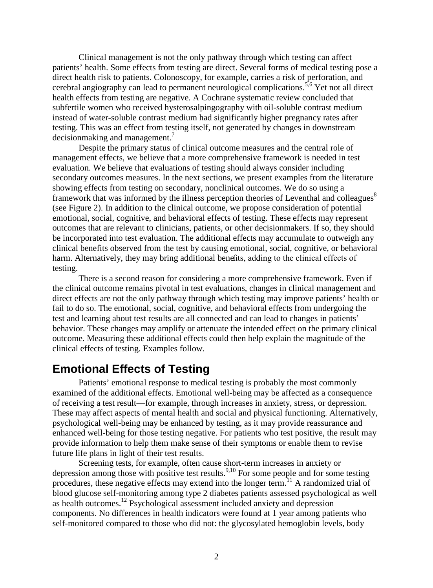Clinical management is not the only pathway through which testing can affect patients' health. Some effects from testing are direct. Several forms of medical testing pose a direct health risk to patients. Colonoscopy, for example, carries a risk of perforation, and cerebral angiography can lead to permanent neurological complications.<sup>5,6</sup> Yet not all direct health effects from testing are negative. A Cochrane systematic review concluded that subfertile women who received hysterosalpingography with oil-soluble contrast medium instead of water-soluble contrast medium had significantly higher pregnancy rates after testing. This was an effect from testing itself, not generated by changes in downstream decisionmaking and management.<sup>7</sup>

Despite the primary status of clinical outcome measures and the central role of management effects, we believe that a more comprehensive framework is needed in test evaluation. We believe that evaluations of testing should always consider including secondary outcomes measures. In the next sections, we present examples from the literature showing effects from testing on secondary, nonclinical outcomes. We do so using a framework that was informed by the illness perception theories of Leventhal and colleagues $8$ (see Figure 2). In addition to the clinical outcome, we propose consideration of potential emotional, social, cognitive, and behavioral effects of testing. These effects may represent outcomes that are relevant to clinicians, patients, or other decisionmakers. If so, they should be incorporated into test evaluation. The additional effects may accumulate to outweigh any clinical benefits observed from the test by causing emotional, social, cognitive, or behavioral harm. Alternatively, they may bring additional benefits, adding to the clinical effects of testing.

There is a second reason for considering a more comprehensive framework. Even if the clinical outcome remains pivotal in test evaluations, changes in clinical management and direct effects are not the only pathway through which testing may improve patients' health or fail to do so. The emotional, social, cognitive, and behavioral effects from undergoing the test and learning about test results are all connected and can lead to changes in patients' behavior. These changes may amplify or attenuate the intended effect on the primary clinical outcome. Measuring these additional effects could then help explain the magnitude of the clinical effects of testing. Examples follow.

#### **Emotional Effects of Testing**

Patients' emotional response to medical testing is probably the most commonly examined of the additional effects. Emotional well-being may be affected as a consequence of receiving a test result—for example, through increases in anxiety, stress, or depression. These may affect aspects of mental health and social and physical functioning. Alternatively, psychological well-being may be enhanced by testing, as it may provide reassurance and enhanced well-being for those testing negative. For patients who test positive, the result may provide information to help them make sense of their symptoms or enable them to revise future life plans in light of their test results.

Screening tests, for example, often cause short-term increases in anxiety or depression among those with positive test results.9,10 For some people and for some testing procedures, these negative effects may extend into the longer term.<sup>11</sup> A randomized trial of blood glucose self-monitoring among type 2 diabetes patients assessed psychological as well as health outcomes.<sup>12</sup> Psychological assessment included anxiety and depression components. No differences in health indicators were found at 1 year among patients who self-monitored compared to those who did not: the glycosylated hemoglobin levels, body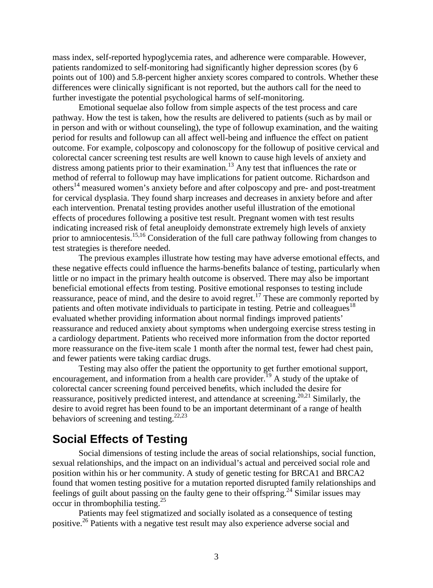mass index, self-reported hypoglycemia rates, and adherence were comparable. However, patients randomized to self-monitoring had significantly higher depression scores (by 6 points out of 100) and 5.8-percent higher anxiety scores compared to controls. Whether these differences were clinically significant is not reported, but the authors call for the need to further investigate the potential psychological harms of self-monitoring.

Emotional sequelae also follow from simple aspects of the test process and care pathway. How the test is taken, how the results are delivered to patients (such as by mail or in person and with or without counseling), the type of followup examination, and the waiting period for results and followup can all affect well-being and influence the effect on patient outcome. For example, colposcopy and colonoscopy for the followup of positive cervical and colorectal cancer screening test results are well known to cause high levels of anxiety and distress among patients prior to their examination.<sup>13</sup> Any test that influences the rate or method of referral to followup may have implications for patient outcome. Richardson and others<sup>14</sup> measured women's anxiety before and after colposcopy and pre- and post-treatment for cervical dysplasia. They found sharp increases and decreases in anxiety before and after each intervention. Prenatal testing provides another useful illustration of the emotional effects of procedures following a positive test result. Pregnant women with test results indicating increased risk of fetal aneuploidy demonstrate extremely high levels of anxiety prior to amniocentesis.<sup>15,16</sup> Consideration of the full care pathway following from changes to test strategies is therefore needed.

The previous examples illustrate how testing may have adverse emotional effects, and these negative effects could influence the harms-benefits balance of testing, particularly when little or no impact in the primary health outcome is observed. There may also be important beneficial emotional effects from testing. Positive emotional responses to testing include reassurance, peace of mind, and the desire to avoid regret.<sup>17</sup> These are commonly reported by patients and often motivate individuals to participate in testing. Petrie and colleagues<sup>18</sup> evaluated whether providing information about normal findings improved patients' reassurance and reduced anxiety about symptoms when undergoing exercise stress testing in a cardiology department. Patients who received more information from the doctor reported more reassurance on the five-item scale 1 month after the normal test, fewer had chest pain, and fewer patients were taking cardiac drugs.

Testing may also offer the patient the opportunity to get further emotional support, encouragement, and information from a health care provider.<sup>19</sup> A study of the uptake of colorectal cancer screening found perceived benefits, which included the desire for reassurance, positively predicted interest, and attendance at screening.20,21 Similarly, the desire to avoid regret has been found to be an important determinant of a range of health behaviors of screening and testing.<sup>22,23</sup>

#### **Social Effects of Testing**

Social dimensions of testing include the areas of social relationships, social function, sexual relationships, and the impact on an individual's actual and perceived social role and position within his or her community. A study of genetic testing for BRCA1 and BRCA2 found that women testing positive for a mutation reported disrupted family relationships and feelings of guilt about passing on the faulty gene to their offspring.<sup>24</sup> Similar issues may occur in thrombophilia testing.<sup>25</sup>

Patients may feel stigmatized and socially isolated as a consequence of testing positive.26 Patients with a negative test result may also experience adverse social and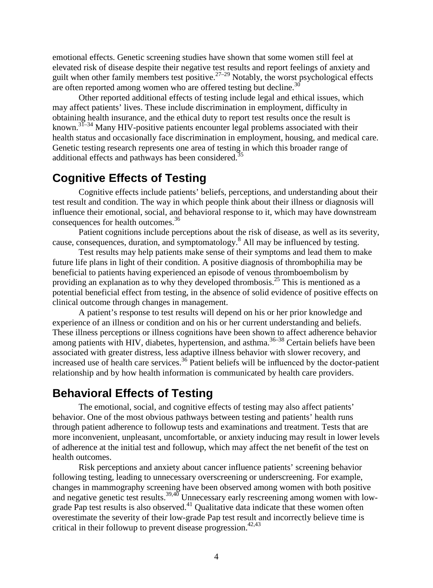emotional effects. Genetic screening studies have shown that some women still feel at elevated risk of disease despite their negative test results and report feelings of anxiety and guilt when other family members test positive.<sup>27-29</sup> Notably, the worst psychological effects are often reported among women who are offered testing but decline.<sup>30</sup>

Other reported additional effects of testing include legal and ethical issues, which may affect patients' lives. These include discrimination in employment, difficulty in obtaining health insurance, and the ethical duty to report test results once the result is known. $3^{1-34}$  Many HIV-positive patients encounter legal problems associated with their health status and occasionally face discrimination in employment, housing, and medical care. Genetic testing research represents one area of testing in which this broader range of additional effects and pathways has been considered.<sup>35</sup>

### **Cognitive Effects of Testing**

Cognitive effects include patients' beliefs, perceptions, and understanding about their test result and condition. The way in which people think about their illness or diagnosis will influence their emotional, social, and behavioral response to it, which may have downstream consequences for health outcomes.<sup>36</sup>

Patient cognitions include perceptions about the risk of disease, as well as its severity, cause, consequences, duration, and symptomatology.8 All may be influenced by testing.

Test results may help patients make sense of their symptoms and lead them to make future life plans in light of their condition. A positive diagnosis of thrombophilia may be beneficial to patients having experienced an episode of venous thromboembolism by providing an explanation as to why they developed thrombosis.25 This is mentioned as a potential beneficial effect from testing, in the absence of solid evidence of positive effects on clinical outcome through changes in management.

A patient's response to test results will depend on his or her prior knowledge and experience of an illness or condition and on his or her current understanding and beliefs. These illness perceptions or illness cognitions have been shown to affect adherence behavior among patients with HIV, diabetes, hypertension, and asthma.<sup>36–38</sup> Certain beliefs have been associated with greater distress, less adaptive illness behavior with slower recovery, and increased use of health care services.<sup>36</sup> Patient beliefs will be influenced by the doctor-patient relationship and by how health information is communicated by health care providers.

#### **Behavioral Effects of Testing**

The emotional, social, and cognitive effects of testing may also affect patients' behavior. One of the most obvious pathways between testing and patients' health runs through patient adherence to followup tests and examinations and treatment. Tests that are more inconvenient, unpleasant, uncomfortable, or anxiety inducing may result in lower levels of adherence at the initial test and followup, which may affect the net benefit of the test on health outcomes.

Risk perceptions and anxiety about cancer influence patients' screening behavior following testing, leading to unnecessary overscreening or underscreening. For example, changes in mammography screening have been observed among women with both positive and negative genetic test results.<sup>39,40</sup> Unnecessary early rescreening among women with lowgrade Pap test results is also observed. $41$  Qualitative data indicate that these women often overestimate the severity of their low-grade Pap test result and incorrectly believe time is critical in their followup to prevent disease progression.<sup>42,43</sup>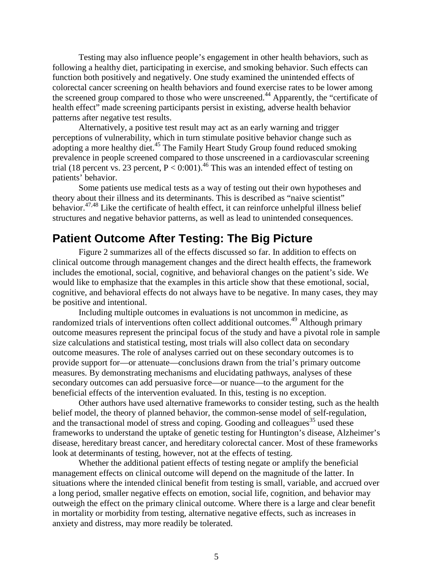Testing may also influence people's engagement in other health behaviors, such as following a healthy diet, participating in exercise, and smoking behavior. Such effects can function both positively and negatively. One study examined the unintended effects of colorectal cancer screening on health behaviors and found exercise rates to be lower among the screened group compared to those who were unscreened.<sup>44</sup> Apparently, the "certificate of health effect" made screening participants persist in existing, adverse health behavior patterns after negative test results.

Alternatively, a positive test result may act as an early warning and trigger perceptions of vulnerability, which in turn stimulate positive behavior change such as adopting a more healthy diet.<sup>45</sup> The Family Heart Study Group found reduced smoking prevalence in people screened compared to those unscreened in a cardiovascular screening trial (18 percent vs. 23 percent,  $P < 0.001$ ).<sup>46</sup> This was an intended effect of testing on patients' behavior.

Some patients use medical tests as a way of testing out their own hypotheses and theory about their illness and its determinants. This is described as "naive scientist" behavior.47,48 Like the certificate of health effect, it can reinforce unhelpful illness belief structures and negative behavior patterns, as well as lead to unintended consequences.

#### **Patient Outcome After Testing: The Big Picture**

Figure 2 summarizes all of the effects discussed so far. In addition to effects on clinical outcome through management changes and the direct health effects, the framework includes the emotional, social, cognitive, and behavioral changes on the patient's side. We would like to emphasize that the examples in this article show that these emotional, social, cognitive, and behavioral effects do not always have to be negative. In many cases, they may be positive and intentional.

Including multiple outcomes in evaluations is not uncommon in medicine, as randomized trials of interventions often collect additional outcomes.<sup>49</sup> Although primary outcome measures represent the principal focus of the study and have a pivotal role in sample size calculations and statistical testing, most trials will also collect data on secondary outcome measures. The role of analyses carried out on these secondary outcomes is to provide support for—or attenuate—conclusions drawn from the trial's primary outcome measures. By demonstrating mechanisms and elucidating pathways, analyses of these secondary outcomes can add persuasive force—or nuance—to the argument for the beneficial effects of the intervention evaluated. In this, testing is no exception.

Other authors have used alternative frameworks to consider testing, such as the health belief model, the theory of planned behavior, the common-sense model of self-regulation, and the transactional model of stress and coping. Gooding and colleagues<sup>35</sup> used these frameworks to understand the uptake of genetic testing for Huntington's disease, Alzheimer's disease, hereditary breast cancer, and hereditary colorectal cancer. Most of these frameworks look at determinants of testing, however, not at the effects of testing.

Whether the additional patient effects of testing negate or amplify the beneficial management effects on clinical outcome will depend on the magnitude of the latter. In situations where the intended clinical benefit from testing is small, variable, and accrued over a long period, smaller negative effects on emotion, social life, cognition, and behavior may outweigh the effect on the primary clinical outcome. Where there is a large and clear benefit in mortality or morbidity from testing, alternative negative effects, such as increases in anxiety and distress, may more readily be tolerated.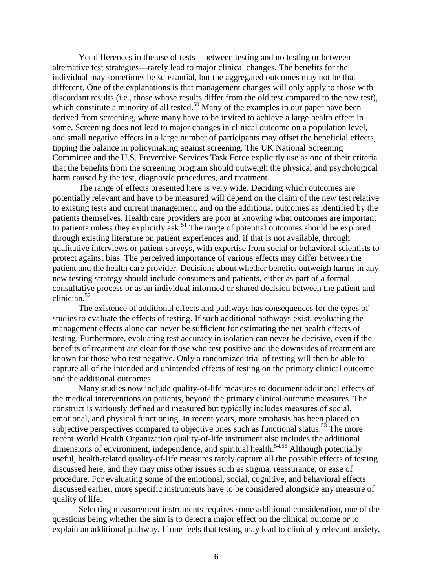Yet differences in the use of tests—between testing and no testing or between alternative test strategies—rarely lead to major clinical changes. The benefits for the individual may sometimes be substantial, but the aggregated outcomes may not be that different. One of the explanations is that management changes will only apply to those with discordant results (i.e., those whose results differ from the old test compared to the new test), which constitute a minority of all tested.<sup>50</sup> Many of the examples in our paper have been derived from screening, where many have to be invited to achieve a large health effect in some. Screening does not lead to major changes in clinical outcome on a population level, and small negative effects in a large number of participants may offset the beneficial effects, tipping the balance in policymaking against screening. The UK National Screening Committee and the U.S. Preventive Services Task Force explicitly use as one of their criteria that the benefits from the screening program should outweigh the physical and psychological harm caused by the test, diagnostic procedures, and treatment.

The range of effects presented here is very wide. Deciding which outcomes are potentially relevant and have to be measured will depend on the claim of the new test relative to existing tests and current management, and on the additional outcomes as identified by the patients themselves. Health care providers are poor at knowing what outcomes are important to patients unless they explicitly ask.<sup>51</sup> The range of potential outcomes should be explored through existing literature on patient experiences and, if that is not available, through qualitative interviews or patient surveys, with expertise from social or behavioral scientists to protect against bias. The perceived importance of various effects may differ between the patient and the health care provider. Decisions about whether benefits outweigh harms in any new testing strategy should include consumers and patients, either as part of a formal consultative process or as an individual informed or shared decision between the patient and clinician.<sup>52</sup>

The existence of additional effects and pathways has consequences for the types of studies to evaluate the effects of testing. If such additional pathways exist, evaluating the management effects alone can never be sufficient for estimating the net health effects of testing. Furthermore, evaluating test accuracy in isolation can never be decisive, even if the benefits of treatment are clear for those who test positive and the downsides of treatment are known for those who test negative. Only a randomized trial of testing will then be able to capture all of the intended and unintended effects of testing on the primary clinical outcome and the additional outcomes.

Many studies now include quality-of-life measures to document additional effects of the medical interventions on patients, beyond the primary clinical outcome measures. The construct is variously defined and measured but typically includes measures of social, emotional, and physical functioning. In recent years, more emphasis has been placed on subjective perspectives compared to objective ones such as functional status.<sup>53</sup> The more recent World Health Organization quality-of-life instrument also includes the additional dimensions of environment, independence, and spiritual health.<sup>54,55</sup> Although potentially useful, health-related quality-of-life measures rarely capture all the possible effects of testing discussed here, and they may miss other issues such as stigma, reassurance, or ease of procedure. For evaluating some of the emotional, social, cognitive, and behavioral effects discussed earlier, more specific instruments have to be considered alongside any measure of quality of life.

Selecting measurement instruments requires some additional consideration, one of the questions being whether the aim is to detect a major effect on the clinical outcome or to explain an additional pathway. If one feels that testing may lead to clinically relevant anxiety,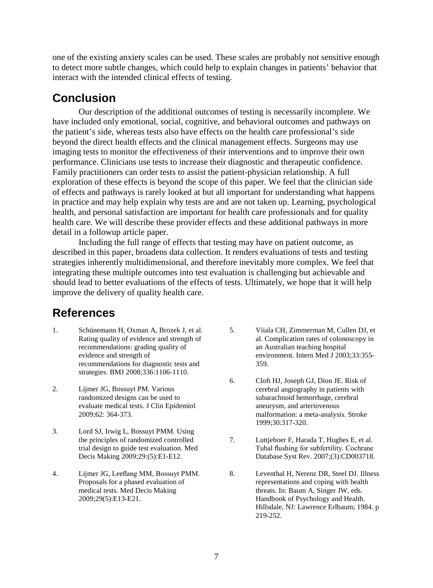one of the existing anxiety scales can be used. These scales are probably not sensitive enough to detect more subtle changes, which could help to explain changes in patients' behavior that interact with the intended clinical effects of testing.

#### **Conclusion**

Our description of the additional outcomes of testing is necessarily incomplete. We have included only emotional, social, cognitive, and behavioral outcomes and pathways on the patient's side, whereas tests also have effects on the health care professional's side beyond the direct health effects and the clinical management effects. Surgeons may use imaging tests to monitor the effectiveness of their interventions and to improve their own performance. Clinicians use tests to increase their diagnostic and therapeutic confidence. Family practitioners can order tests to assist the patient-physician relationship. A full exploration of these effects is beyond the scope of this paper. We feel that the clinician side of effects and pathways is rarely looked at but all important for understanding what happens in practice and may help explain why tests are and are not taken up. Learning, psychological health, and personal satisfaction are important for health care professionals and for quality health care. We will describe these provider effects and these additional pathways in more detail in a followup article paper.

Including the full range of effects that testing may have on patient outcome, as described in this paper, broadens data collection. It renders evaluations of tests and testing strategies inherently multidimensional, and therefore inevitably more complex. We feel that integrating these multiple outcomes into test evaluation is challenging but achievable and should lead to better evaluations of the effects of tests. Ultimately, we hope that it will help improve the delivery of quality health care.

### **References**

- 1. Schünemann H, Oxman A, Brozek J, et al. Rating quality of evidence and strength of recommendations: grading quality of evidence and strength of recommendations for diagnostic tests and strategies. BMJ 2008;336:1106-1110.
- 2. Lijmer JG, Bossuyt PM. Various randomized designs can be used to evaluate medical tests. J Clin Epidemiol 2009;62: 364-373.
- 3. Lord SJ, Irwig L, Bossuyt PMM. Using the principles of randomized controlled trial design to guide test evaluation. Med Decis Making 2009;29:(5):E1-E12.
- 4. Lijmer JG, Leeflang MM, Bossuyt PMM. Proposals for a phased evaluation of medical tests. Med Decis Making 2009;29(5):E13-E21.
- 5. Viiala CH, Zimmerman M, Cullen DJ, et al. Complication rates of colonoscopy in an Australian teaching hospital environment. Intern Med J 2003;33:355- 359.
- 6. Cloft HJ, Joseph GJ, Dion JE. Risk of cerebral angiography in patients with subarachnoid hemorrhage, cerebral aneurysm, and arteriovenous malformation: a meta-analysis. Stroke 1999;30:317-320.
- 7. Luttjeboer F, Harada T, Hughes E, et al. Tubal flushing for subfertility. Cochrane Database Syst Rev. 2007;(3):CD003718.
- 8. Leventhal H, Nerenz DR, Steel DJ. Illness representations and coping with health threats. In: Baum A, Singer JW, eds. Handbook of Psychology and Health. Hillsdale, NJ: Lawrence Erlbaum; 1984. p 219-252.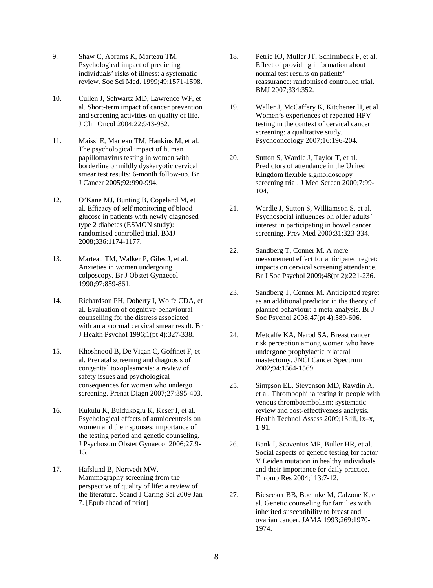- 9. Shaw C, Abrams K, Marteau TM. Psychological impact of predicting individuals' risks of illness: a systematic review. Soc Sci Med. 1999;49:1571-1598.
- 10. Cullen J, Schwartz MD, Lawrence WF, et al. Short-term impact of cancer prevention and screening activities on quality of life. J Clin Oncol 2004;22:943-952.
- 11. Maissi E, Marteau TM, Hankins M, et al. The psychological impact of human papillomavirus testing in women with borderline or mildly dyskaryotic cervical smear test results: 6-month follow-up. Br J Cancer 2005;92:990-994.
- 12. O'Kane MJ, Bunting B, Copeland M, et al. Efficacy of self monitoring of blood glucose in patients with newly diagnosed type 2 diabetes (ESMON study): randomised controlled trial. BMJ 2008;336:1174-1177.
- 13. Marteau TM, Walker P, Giles J, et al. Anxieties in women undergoing colposcopy. Br J Obstet Gynaecol 1990;97:859-861.
- 14. Richardson PH, Doherty I, Wolfe CDA, et al. Evaluation of cognitive-behavioural counselling for the distress associated with an abnormal cervical smear result. Br J Health Psychol 1996;1(pt 4):327-338.
- 15. Khoshnood B, De Vigan C, Goffinet F, et al. Prenatal screening and diagnosis of congenital toxoplasmosis: a review of safety issues and psychological consequences for women who undergo screening. Prenat Diagn 2007;27:395-403.
- 16. Kukulu K, Buldukoglu K, Keser I, et al. Psychological effects of amniocentesis on women and their spouses: importance of the testing period and genetic counseling. J Psychosom Obstet Gynaecol 2006;27:9- 15.
- 17. Hafslund B, Nortvedt MW. Mammography screening from the perspective of quality of life: a review of the literature. Scand J Caring Sci 2009 Jan 7. [Epub ahead of print]
- 18. Petrie KJ, Muller JT, Schirmbeck F, et al. Effect of providing information about normal test results on patients' reassurance: randomised controlled trial. BMJ 2007;334:352.
- 19. Waller J, McCaffery K, Kitchener H, et al. Women's experiences of repeated HPV testing in the context of cervical cancer screening: a qualitative study. Psychooncology 2007;16:196-204.
- 20. Sutton S, Wardle J, Taylor T, et al. Predictors of attendance in the United Kingdom flexible sigmoidoscopy screening trial. J Med Screen 2000;7:99- 104.
- 21. Wardle J, Sutton S, Williamson S, et al. Psychosocial influences on older adults' interest in participating in bowel cancer screening. Prev Med 2000;31:323-334.
- 22. Sandberg T, Conner M. A mere measurement effect for anticipated regret: impacts on cervical screening attendance. Br J Soc Psychol 2009;48(pt 2):221-236.
- 23. Sandberg T, Conner M. Anticipated regret as an additional predictor in the theory of planned behaviour: a meta-analysis. Br J Soc Psychol 2008;47(pt 4):589-606.
- 24. Metcalfe KA, Narod SA. Breast cancer risk perception among women who have undergone prophylactic bilateral mastectomy. JNCI Cancer Spectrum 2002;94:1564-1569.
- 25. Simpson EL, Stevenson MD, Rawdin A, et al. Thrombophilia testing in people with venous thromboembolism: systematic review and cost-effectiveness analysis. Health Technol Assess 2009;13:iii, ix–x, 1-91.
- 26. Bank I, Scavenius MP, Buller HR, et al. Social aspects of genetic testing for factor V Leiden mutation in healthy individuals and their importance for daily practice. Thromb Res 2004;113:7-12.
- 27. Biesecker BB, Boehnke M, Calzone K, et al. Genetic counseling for families with inherited susceptibility to breast and ovarian cancer. JAMA 1993;269:1970- 1974.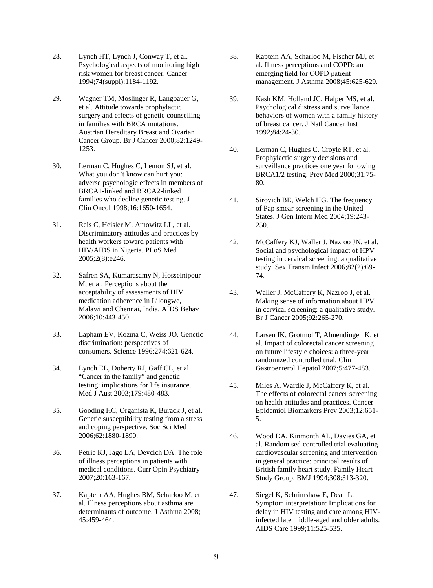- 28. Lynch HT, Lynch J, Conway T, et al. Psychological aspects of monitoring high risk women for breast cancer. Cancer 1994;74(suppl):1184-1192.
- 29. Wagner TM, Moslinger R, Langbauer G, et al. Attitude towards prophylactic surgery and effects of genetic counselling in families with BRCA mutations. Austrian Hereditary Breast and Ovarian Cancer Group. Br J Cancer 2000;82:1249- 1253.
- 30. Lerman C, Hughes C, Lemon SJ, et al. What you don't know can hurt you: adverse psychologic effects in members of BRCA1-linked and BRCA2-linked families who decline genetic testing. J Clin Oncol 1998;16:1650-1654.
- 31. Reis C, Heisler M, Amowitz LL, et al. Discriminatory attitudes and practices by health workers toward patients with HIV/AIDS in Nigeria. PLoS Med 2005;2(8):e246.
- 32. Safren SA, Kumarasamy N, Hosseinipour M, et al. Perceptions about the acceptability of assessments of HIV medication adherence in Lilongwe, Malawi and Chennai, India. AIDS Behav 2006;10:443-450
- 33. Lapham EV, Kozma C, Weiss JO. Genetic discrimination: perspectives of consumers. Science 1996;274:621-624.
- 34. Lynch EL, Doherty RJ, Gaff CL, et al. "Cancer in the family" and genetic testing: implications for life insurance. Med J Aust 2003;179:480-483.
- 35. Gooding HC, Organista K, Burack J, et al. Genetic susceptibility testing from a stress and coping perspective. Soc Sci Med 2006;62:1880-1890.
- 36. Petrie KJ, Jago LA, Devcich DA. The role of illness perceptions in patients with medical conditions. Curr Opin Psychiatry 2007;20:163-167.
- 37. Kaptein AA, Hughes BM, Scharloo M, et al. Illness perceptions about asthma are determinants of outcome. J Asthma 2008; 45:459-464.
- 38. Kaptein AA, Scharloo M, Fischer MJ, et al. Illness perceptions and COPD: an emerging field for COPD patient management. J Asthma 2008;45:625-629.
- 39. Kash KM, Holland JC, Halper MS, et al. Psychological distress and surveillance behaviors of women with a family history of breast cancer. J Natl Cancer Inst 1992;84:24-30.
- 40. Lerman C, Hughes C, Croyle RT, et al. Prophylactic surgery decisions and surveillance practices one year following BRCA1/2 testing. Prev Med 2000;31:75- 80.
- 41. Sirovich BE, Welch HG. The frequency of Pap smear screening in the United States. J Gen Intern Med 2004;19:243- 250.
- 42. McCaffery KJ, Waller J, Nazroo JN, et al. Social and psychological impact of HPV testing in cervical screening: a qualitative study. Sex Transm Infect 2006;82(2):69- 74.
- 43. Waller J, McCaffery K, Nazroo J, et al. Making sense of information about HPV in cervical screening: a qualitative study. Br J Cancer 2005;92:265-270.
- 44. Larsen IK, Grotmol T, Almendingen K, et al. Impact of colorectal cancer screening on future lifestyle choices: a three-year randomized controlled trial. Clin Gastroenterol Hepatol 2007;5:477-483.
- 45. Miles A, Wardle J, McCaffery K, et al. The effects of colorectal cancer screening on health attitudes and practices. Cancer Epidemiol Biomarkers Prev 2003;12:651- 5.
- 46. Wood DA, Kinmonth AL, Davies GA, et al. Randomised controlled trial evaluating cardiovascular screening and intervention in general practice: principal results of British family heart study. Family Heart Study Group. BMJ 1994;308:313-320.
- 47. Siegel K, Schrimshaw E, Dean L. Symptom interpretation: Implications for delay in HIV testing and care among HIVinfected late middle-aged and older adults. AIDS Care 1999;11:525-535.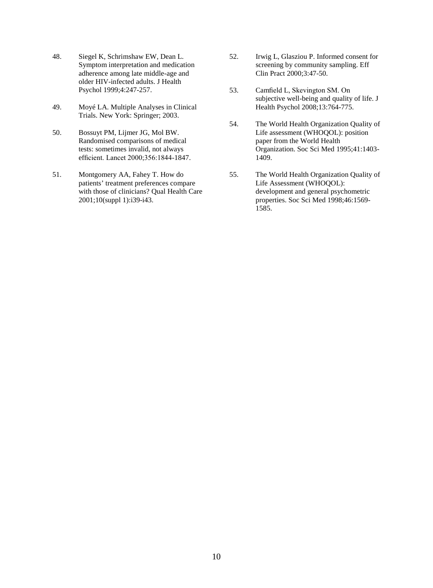- 48. Siegel K, Schrimshaw EW, Dean L. Symptom interpretation and medication adherence among late middle-age and older HIV-infected adults. J Health Psychol 1999;4:247-257.
- 49. Moyé LA. Multiple Analyses in Clinical Trials. New York: Springer; 2003.
- 50. Bossuyt PM, Lijmer JG, Mol BW. Randomised comparisons of medical tests: sometimes invalid, not always efficient. Lancet 2000;356:1844-1847.
- 51. Montgomery AA, Fahey T. How do patients' treatment preferences compare with those of clinicians? Qual Health Care 2001;10(suppl 1):i39-i43.
- 52. Irwig L, Glasziou P. Informed consent for screening by community sampling. Eff Clin Pract 2000;3:47-50.
- 53. Camfield L, Skevington SM. On subjective well-being and quality of life. J Health Psychol 2008;13:764-775.
- 54. The World Health Organization Quality of Life assessment (WHOQOL): position paper from the World Health Organization. Soc Sci Med 1995;41:1403- 1409.
- 55. The World Health Organization Quality of Life Assessment (WHOQOL): development and general psychometric properties. Soc Sci Med 1998;46:1569- 1585.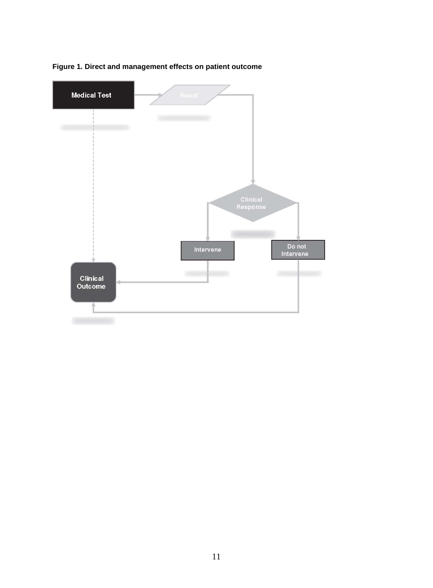

**Figure 1. Direct and management effects on patient outcome**